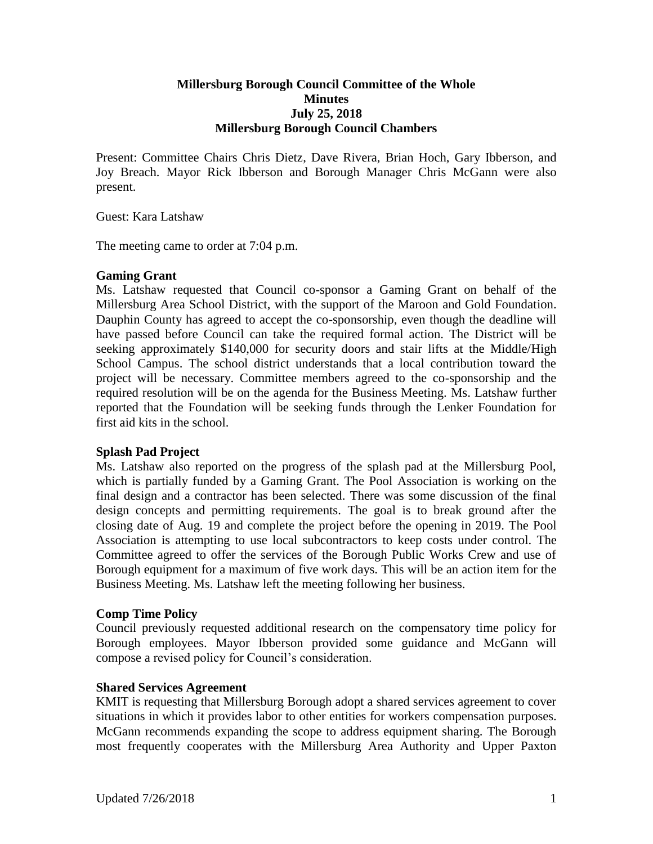### **Millersburg Borough Council Committee of the Whole Minutes July 25, 2018 Millersburg Borough Council Chambers**

Present: Committee Chairs Chris Dietz, Dave Rivera, Brian Hoch, Gary Ibberson, and Joy Breach. Mayor Rick Ibberson and Borough Manager Chris McGann were also present.

Guest: Kara Latshaw

The meeting came to order at 7:04 p.m.

### **Gaming Grant**

Ms. Latshaw requested that Council co-sponsor a Gaming Grant on behalf of the Millersburg Area School District, with the support of the Maroon and Gold Foundation. Dauphin County has agreed to accept the co-sponsorship, even though the deadline will have passed before Council can take the required formal action. The District will be seeking approximately \$140,000 for security doors and stair lifts at the Middle/High School Campus. The school district understands that a local contribution toward the project will be necessary. Committee members agreed to the co-sponsorship and the required resolution will be on the agenda for the Business Meeting. Ms. Latshaw further reported that the Foundation will be seeking funds through the Lenker Foundation for first aid kits in the school.

### **Splash Pad Project**

Ms. Latshaw also reported on the progress of the splash pad at the Millersburg Pool, which is partially funded by a Gaming Grant. The Pool Association is working on the final design and a contractor has been selected. There was some discussion of the final design concepts and permitting requirements. The goal is to break ground after the closing date of Aug. 19 and complete the project before the opening in 2019. The Pool Association is attempting to use local subcontractors to keep costs under control. The Committee agreed to offer the services of the Borough Public Works Crew and use of Borough equipment for a maximum of five work days. This will be an action item for the Business Meeting. Ms. Latshaw left the meeting following her business.

### **Comp Time Policy**

Council previously requested additional research on the compensatory time policy for Borough employees. Mayor Ibberson provided some guidance and McGann will compose a revised policy for Council's consideration.

### **Shared Services Agreement**

KMIT is requesting that Millersburg Borough adopt a shared services agreement to cover situations in which it provides labor to other entities for workers compensation purposes. McGann recommends expanding the scope to address equipment sharing. The Borough most frequently cooperates with the Millersburg Area Authority and Upper Paxton